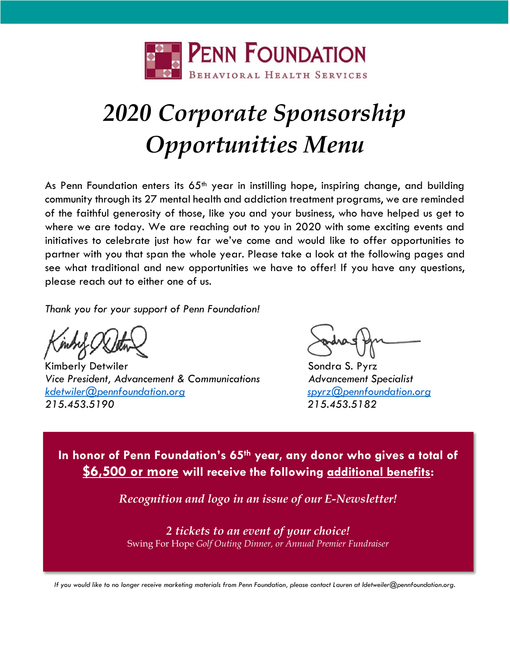

# *2020 Corporate Sponsorship Opportunities Menu*

As Penn Foundation enters its  $65<sup>th</sup>$  year in instilling hope, inspiring change, and building community through its 27 mental health and addiction treatment programs, we are reminded of the faithful generosity of those, like you and your business, who have helped us get to where we are today. We are reaching out to you in 2020 with some exciting events and initiatives to celebrate just how far we've come and would like to offer opportunities to partner with you that span the whole year. Please take a look at the following pages and see what traditional and new opportunities we have to offer! If you have any questions, please reach out to either one of us.

*Thank you for your support of Penn Foundation!*

Kimberly Detwiler Sondra S. Pyrz Vice President, Advancement & Communications **Advancement Specialist** *[kdetwiler@pennfoundation.org](mailto:kdetwiler@pennfoundation.org) [spyrz@pennfoundation.org](mailto:spyrz@pennfoundation.org) 215.453.5190 215.453.5182*

**In honor of Penn Foundation's 65th year, any donor who gives a total of \$6,500 or more will receive the following additional benefits:**

*Recognition and logo in an issue of our E-Newsletter!*

*2 tickets to an event of your choice!* Swing For Hope *Golf Outing Dinner, or Annual Premier Fundraiser*

*If you would like to no longer receive marketing materials from Penn Foundation, please contact Lauren at ldetweiler@pennfoundation.org.*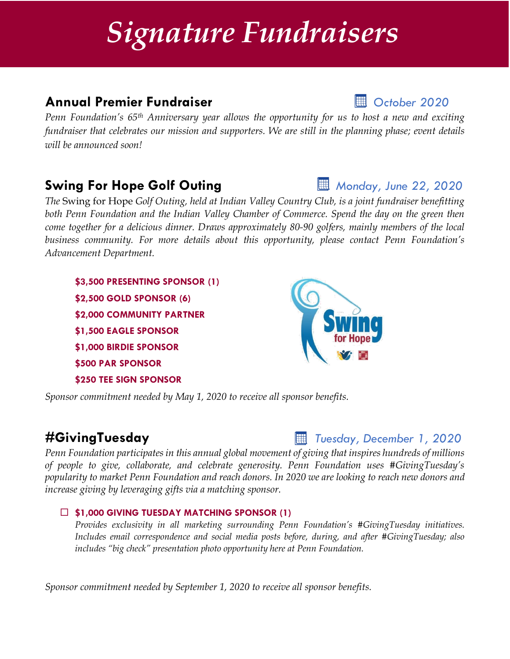# *Signature Fundraisers*

# **Annual Premier Fundraiser** *October 2020*

*Penn Foundation's 65th Anniversary year allows the opportunity for us to host a new and exciting fundraiser that celebrates our mission and supporters. We are still in the planning phase; event details will be announced soon!* 

# **Swing For Hope Golf Outing** *Monday, June 22, 2020*

*The* Swing for Hope *Golf Outing, held at Indian Valley Country Club, is a joint fundraiser benefitting both Penn Foundation and the Indian Valley Chamber of Commerce. Spend the day on the green then come together for a delicious dinner. Draws approximately 80-90 golfers, mainly members of the local business community. For more details about this opportunity, please contact Penn Foundation's Advancement Department.* 

**\$3,500 PRESENTING SPONSOR (1) \$2,500 GOLD SPONSOR (6) \$2,000 COMMUNITY PARTNER \$1,500 EAGLE SPONSOR \$1,000 BIRDIE SPONSOR \$500 PAR SPONSOR \$250 TEE SIGN SPONSOR**

*Sponsor commitment needed by May 1, 2020 to receive all sponsor benefits.*

# **#GivingTuesday** *Tuesday, December 1, 2020*

*Penn Foundation participates in this annual global movement of giving that inspires hundreds of millions of people to give, collaborate, and celebrate generosity. Penn Foundation uses #GivingTuesday's popularity to market Penn Foundation and reach donors. In 2020 we are looking to reach new donors and increase giving by leveraging gifts via a matching sponsor.*

### **\$1,000 GIVING TUESDAY MATCHING SPONSOR (1)**

*Provides exclusivity in all marketing surrounding Penn Foundation's #GivingTuesday initiatives. Includes email correspondence and social media posts before, during, and after #GivingTuesday; also includes "big check" presentation photo opportunity here at Penn Foundation.*

*Sponsor commitment needed by September 1, 2020 to receive all sponsor benefits.*

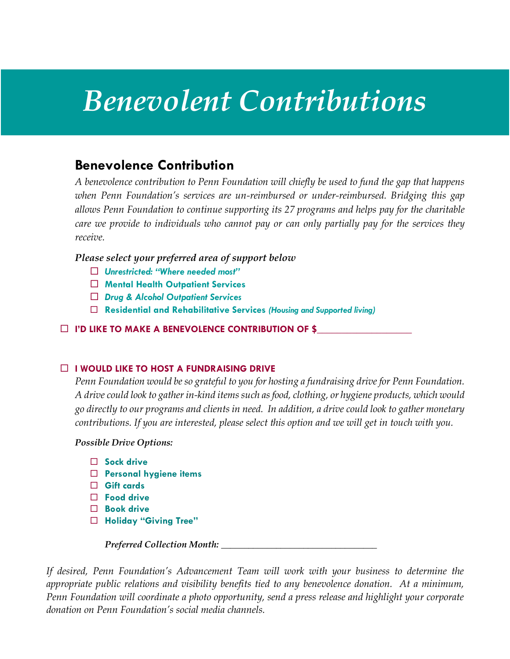# *Benevolent Contributions*

## **Benevolence Contribution**

*A benevolence contribution to Penn Foundation will chiefly be used to fund the gap that happens when Penn Foundation's services are un-reimbursed or under-reimbursed. Bridging this gap allows Penn Foundation to continue supporting its 27 programs and helps pay for the charitable care we provide to individuals who cannot pay or can only partially pay for the services they receive.* 

*Please select your preferred area of support below*

- *Unrestricted: "Where needed most"*
- **Mental Health Outpatient Services**
- *Drug & Alcohol Outpatient Services*
- **Residential and Rehabilitative Services** *(Housing and Supported living)*

**I'D LIKE TO MAKE A BENEVOLENCE CONTRIBUTION OF \$\_\_\_\_\_\_\_\_\_\_\_\_\_\_\_\_\_\_\_** 

### **IN THE TO HOST A FUNDRAISING DRIVE**

*Penn Foundation would be so grateful to you for hosting a fundraising drive for Penn Foundation. A drive could look to gather in-kind items such as food, clothing, or hygiene products, which would go directly to our programs and clients in need. In addition, a drive could look to gather monetary contributions. If you are interested, please select this option and we will get in touch with you.* 

### *Possible Drive Options:*

- **Sock drive**
- **Personal hygiene items**
- **Gift cards**
- **Food drive**
- **Book drive**
- **Holiday "Giving Tree"**

*Preferred Collection Month: \_\_\_\_\_\_\_\_\_\_\_\_\_\_\_\_\_\_\_\_\_\_\_\_\_\_\_\_\_\_\_\_\_\_*

*If desired, Penn Foundation's Advancement Team will work with your business to determine the appropriate public relations and visibility benefits tied to any benevolence donation. At a minimum, Penn Foundation will coordinate a photo opportunity, send a press release and highlight your corporate donation on Penn Foundation's social media channels.*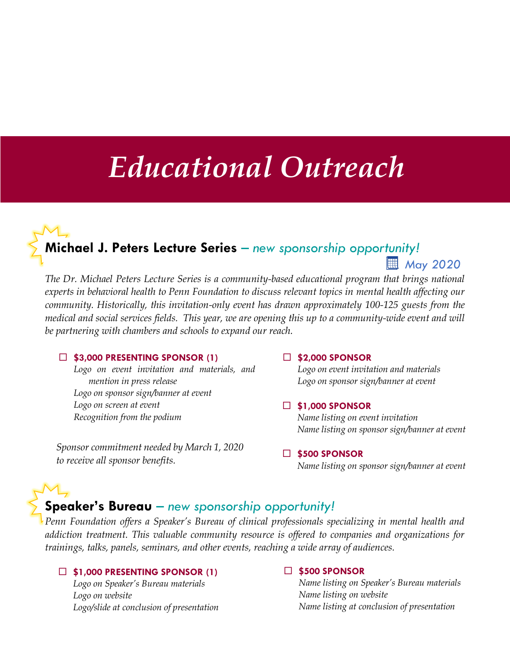# *Educational Outreach*

# **Michael J. Peters Lecture Series** *– new sponsorship opportunity! May 2020*

*The Dr. Michael Peters Lecture Series is a community-based educational program that brings national experts in behavioral health to Penn Foundation to discuss relevant topics in mental health affecting our community. Historically, this invitation-only event has drawn approximately 100-125 guests from the medical and social services fields. This year, we are opening this up to a community-wide event and will be partnering with chambers and schools to expand our reach.*

#### **\$3,000 PRESENTING SPONSOR (1)**

*Logo on event invitation and materials, and mention in press release Logo on sponsor sign/banner at event Logo on screen at event Recognition from the podium*

*Sponsor commitment needed by March 1, 2020 to receive all sponsor benefits.*

#### **\$2,000 SPONSOR**

*Logo on event invitation and materials Logo on sponsor sign/banner at event*

#### **\$1,000 SPONSOR**

*Name listing on event invitation Name listing on sponsor sign/banner at event*

#### **\$500 SPONSOR**

*Name listing on sponsor sign/banner at event*

### **Speaker's Bureau** *– new sponsorship opportunity!*

*Penn Foundation offers a Speaker's Bureau of clinical professionals specializing in mental health and addiction treatment. This valuable community resource is offered to companies and organizations for trainings, talks, panels, seminars, and other events, reaching a wide array of audiences.* 

#### **\$1,000 PRESENTING SPONSOR (1)**

*Logo on Speaker's Bureau materials Logo on website Logo/slide at conclusion of presentation*

#### **\$500 SPONSOR**

*Name listing on Speaker's Bureau materials Name listing on website Name listing at conclusion of presentation*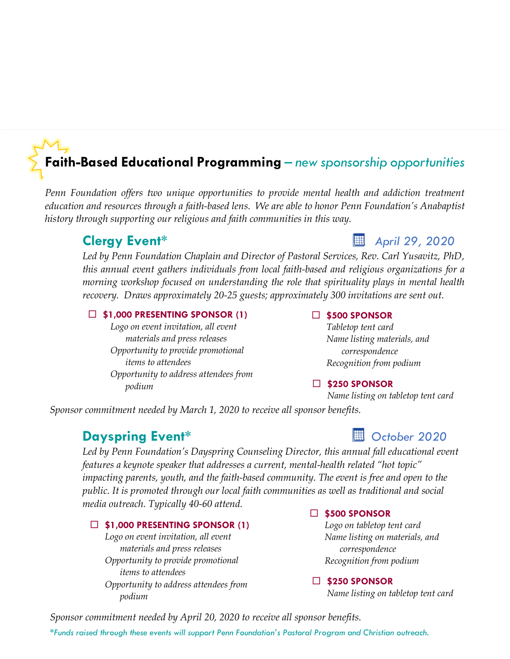# **Faith-Based Educational Programming** *– new sponsorship opportunities*

*Penn Foundation offers two unique opportunities to provide mental health and addiction treatment education and resources through a faith-based lens. We are able to honor Penn Foundation's Anabaptist history through supporting our religious and faith communities in this way.*

### **Clergy Event\* April 29, 2020**

*Led by Penn Foundation Chaplain and Director of Pastoral Services, Rev. Carl Yusavitz, PhD, this annual event gathers individuals from local faith-based and religious organizations for a morning workshop focused on understanding the role that spirituality plays in mental health recovery. Draws approximately 20-25 guests; approximately 300 invitations are sent out.*

#### **\$1,000 PRESENTING SPONSOR (1)**

*Logo on event invitation, all event materials and press releases Opportunity to provide promotional items to attendees Opportunity to address attendees from podium*

#### **\$500 SPONSOR**

*Tabletop tent card Name listing materials, and correspondence Recognition from podium*

### **\$250 SPONSOR**

*Name listing on tabletop tent card*

*Sponsor commitment needed by March 1, 2020 to receive all sponsor benefits.*

## **Dayspring Event\***<br> **Dayspring Event\***

*Led by Penn Foundation's Dayspring Counseling Director, this annual fall educational event features a keynote speaker that addresses a current, mental-health related "hot topic" impacting parents, youth, and the faith-based community. The event is free and open to the public. It is promoted through our local faith communities as well as traditional and social media outreach. Typically 40-60 attend.* 

#### **\$1,000 PRESENTING SPONSOR (1)**

*Logo on event invitation, all event materials and press releases Opportunity to provide promotional items to attendees Opportunity to address attendees from podium*

#### **\$500 SPONSOR**

*Logo on tabletop tent card Name listing on materials, and correspondence Recognition from podium*

#### **\$250 SPONSOR**

*Name listing on tabletop tent card*

*Sponsor commitment needed by April 20, 2020 to receive all sponsor benefits. \*Funds raised through these events will support Penn Foundation's Pastoral Program and Christian outreach.*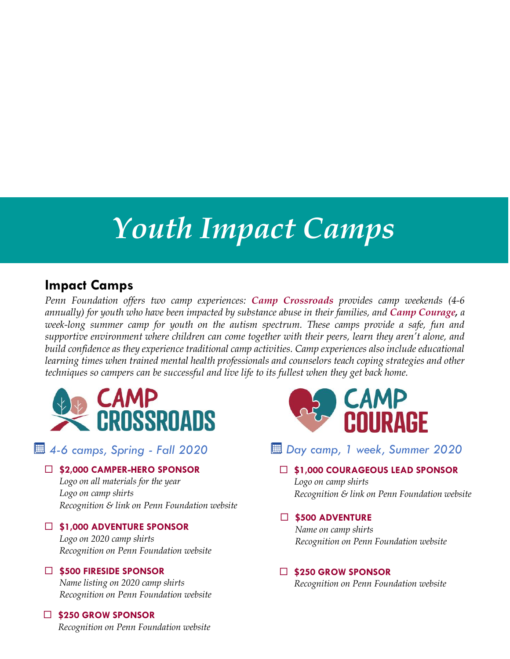# *Youth Impact Camps*

## **Impact Camps**

*Penn Foundation offers two camp experiences: Camp Crossroads provides camp weekends (4-6 annually) for youth who have been impacted by substance abuse in their families, and Camp Courage, a week-long summer camp for youth on the autism spectrum. These camps provide a safe, fun and supportive environment where children can come together with their peers, learn they aren't alone, and build confidence as they experience traditional camp activities. Camp experiences also include educational learning times when trained mental health professionals and counselors teach coping strategies and other techniques so campers can be successful and live life to its fullest when they get back home.*



### **\$2,000 CAMPER-HERO SPONSOR**

*Logo on all materials for the year Logo on camp shirts Recognition & link on Penn Foundation website*

### **\$1,000 ADVENTURE SPONSOR**

*Logo on 2020 camp shirts Recognition on Penn Foundation website*

### **\$500 FIRESIDE SPONSOR**

*Name listing on 2020 camp shirts Recognition on Penn Foundation website*

### **\$250 GROW SPONSOR**



### *4-6 camps, Spring - Fall 2020 Day camp, 1 week, Summer 2020*

 **\$1,000 COURAGEOUS LEAD SPONSOR** *Logo on camp shirts Recognition & link on Penn Foundation website*

#### **\$500 ADVENTURE**

*Name on camp shirts Recognition on Penn Foundation website*

### **\$250 GROW SPONSOR**

*Recognition on Penn Foundation website*

*Recognition on Penn Foundation website*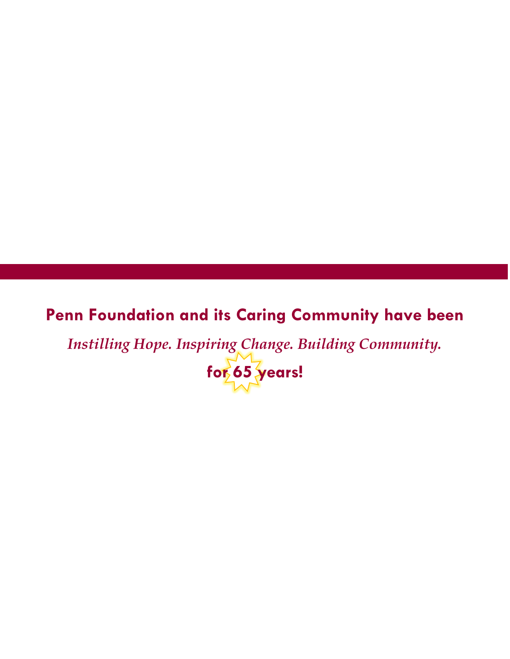# **Penn Foundation and its Caring Community have been**

*Instilling Hope. Inspiring Change. Building Community.*

**for 65 years!**